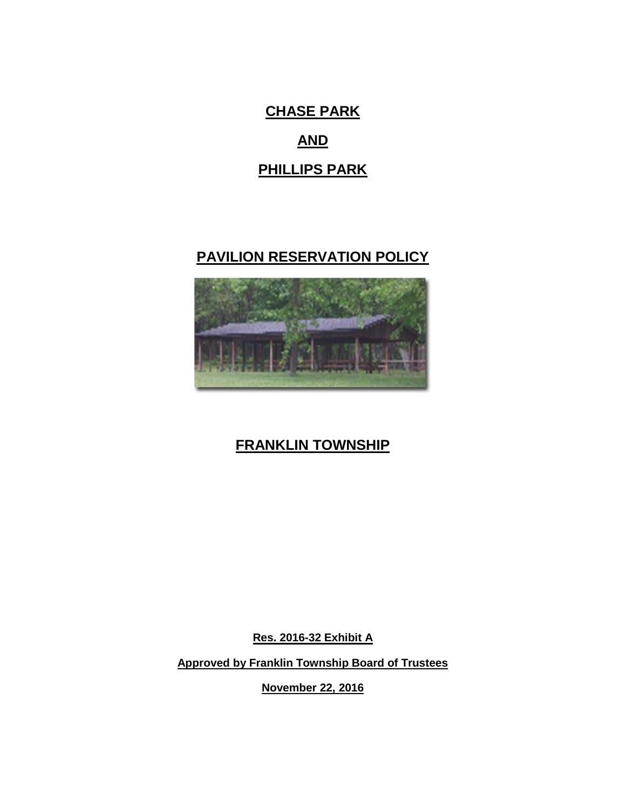**CHASE PARK AND PHILLIPS PARK**

## **PAVILION RESERVATION POLICY**



# **FRANKLIN TOWNSHIP**

**Res. 2016-32 Exhibit A**

**Approved by Franklin Township Board of Trustees** 

**November 22, 2016**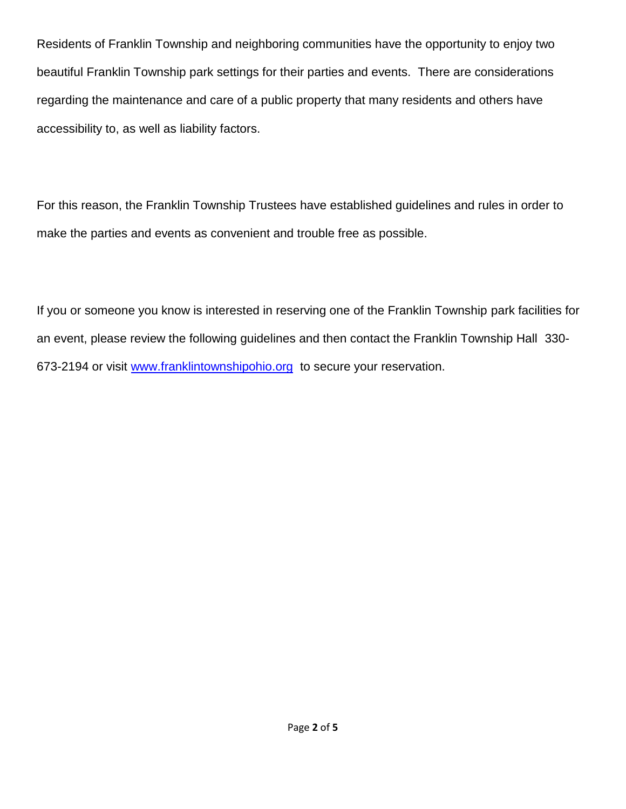Residents of Franklin Township and neighboring communities have the opportunity to enjoy two beautiful Franklin Township park settings for their parties and events. There are considerations regarding the maintenance and care of a public property that many residents and others have accessibility to, as well as liability factors.

For this reason, the Franklin Township Trustees have established guidelines and rules in order to make the parties and events as convenient and trouble free as possible.

If you or someone you know is interested in reserving one of the Franklin Township park facilities for an event, please review the following guidelines and then contact the Franklin Township Hall 330- 673-2194 or visit [www.franklintownshipohio.org](http://www.franklintownshipohio.org/) to secure your reservation.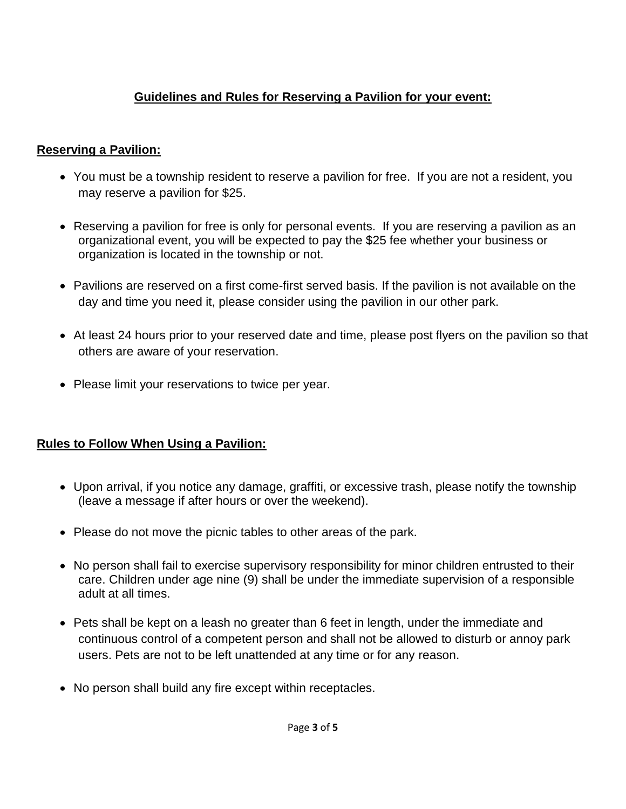## **Guidelines and Rules for Reserving a Pavilion for your event:**

#### **Reserving a Pavilion:**

- You must be a township resident to reserve a pavilion for free. If you are not a resident, you may reserve a pavilion for \$25.
- Reserving a pavilion for free is only for personal events. If you are reserving a pavilion as an organizational event, you will be expected to pay the \$25 fee whether your business or organization is located in the township or not.
- Pavilions are reserved on a first come-first served basis. If the pavilion is not available on the day and time you need it, please consider using the pavilion in our other park.
- At least 24 hours prior to your reserved date and time, please post flyers on the pavilion so that others are aware of your reservation.
- Please limit your reservations to twice per year.

### **Rules to Follow When Using a Pavilion:**

- Upon arrival, if you notice any damage, graffiti, or excessive trash, please notify the township (leave a message if after hours or over the weekend).
- Please do not move the picnic tables to other areas of the park.
- No person shall fail to exercise supervisory responsibility for minor children entrusted to their care. Children under age nine (9) shall be under the immediate supervision of a responsible adult at all times.
- Pets shall be kept on a leash no greater than 6 feet in length, under the immediate and continuous control of a competent person and shall not be allowed to disturb or annoy park users. Pets are not to be left unattended at any time or for any reason.
- No person shall build any fire except within receptacles.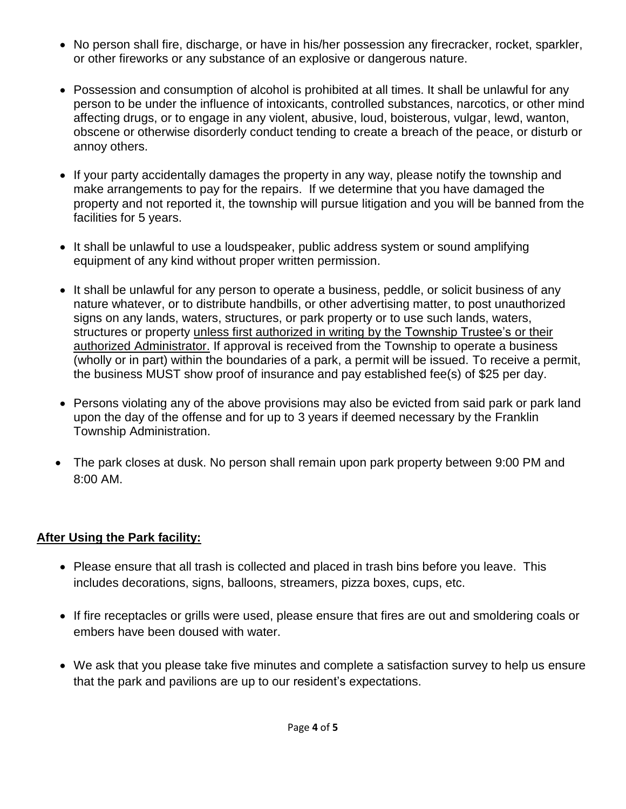- No person shall fire, discharge, or have in his/her possession any firecracker, rocket, sparkler, or other fireworks or any substance of an explosive or dangerous nature.
- Possession and consumption of alcohol is prohibited at all times. It shall be unlawful for any person to be under the influence of intoxicants, controlled substances, narcotics, or other mind affecting drugs, or to engage in any violent, abusive, loud, boisterous, vulgar, lewd, wanton, obscene or otherwise disorderly conduct tending to create a breach of the peace, or disturb or annoy others.
- If your party accidentally damages the property in any way, please notify the township and make arrangements to pay for the repairs. If we determine that you have damaged the property and not reported it, the township will pursue litigation and you will be banned from the facilities for 5 years.
- It shall be unlawful to use a loudspeaker, public address system or sound amplifying equipment of any kind without proper written permission.
- It shall be unlawful for any person to operate a business, peddle, or solicit business of any nature whatever, or to distribute handbills, or other advertising matter, to post unauthorized signs on any lands, waters, structures, or park property or to use such lands, waters, structures or property unless first authorized in writing by the Township Trustee's or their authorized Administrator. If approval is received from the Township to operate a business (wholly or in part) within the boundaries of a park, a permit will be issued. To receive a permit, the business MUST show proof of insurance and pay established fee(s) of \$25 per day.
- Persons violating any of the above provisions may also be evicted from said park or park land upon the day of the offense and for up to 3 years if deemed necessary by the Franklin Township Administration.
- The park closes at dusk. No person shall remain upon park property between 9:00 PM and 8:00 AM.

#### **After Using the Park facility:**

- Please ensure that all trash is collected and placed in trash bins before you leave. This includes decorations, signs, balloons, streamers, pizza boxes, cups, etc.
- If fire receptacles or grills were used, please ensure that fires are out and smoldering coals or embers have been doused with water.
- We ask that you please take five minutes and complete a satisfaction survey to help us ensure that the park and pavilions are up to our resident's expectations.